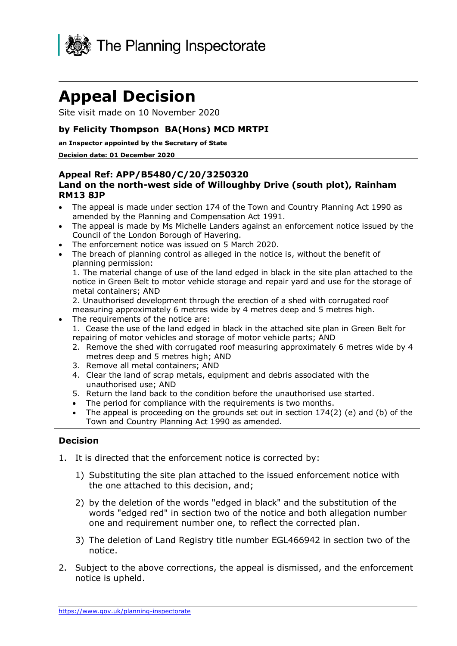

## **Appeal Decision**

Site visit made on 10 November 2020

#### **by Felicity Thompson BA(Hons) MCD MRTPI**

#### **an Inspector appointed by the Secretary of State**

#### **Decision date: 01 December 2020**

#### **Appeal Ref: APP/B5480/C/20/3250320 Land on the north-west side of Willoughby Drive (south plot), Rainham RM13 8JP**

- The appeal is made under section 174 of the Town and Country Planning Act 1990 as amended by the Planning and Compensation Act 1991.
- The appeal is made by Ms Michelle Landers against an enforcement notice issued by the Council of the London Borough of Havering.
- The enforcement notice was issued on 5 March 2020.
- The breach of planning control as alleged in the notice is, without the benefit of planning permission:

1. The material change of use of the land edged in black in the site plan attached to the notice in Green Belt to motor vehicle storage and repair yard and use for the storage of metal containers; AND

2. Unauthorised development through the erection of a shed with corrugated roof measuring approximately 6 metres wide by 4 metres deep and 5 metres high.

- The requirements of the notice are:
	- 1. Cease the use of the land edged in black in the attached site plan in Green Belt for repairing of motor vehicles and storage of motor vehicle parts; AND
	- 2. Remove the shed with corrugated roof measuring approximately 6 metres wide by 4 metres deep and 5 metres high; AND
	- 3. Remove all metal containers; AND
	- 4. Clear the land of scrap metals, equipment and debris associated with the unauthorised use; AND
	- 5. Return the land back to the condition before the unauthorised use started.
	- The period for compliance with the requirements is two months.
	- The appeal is proceeding on the grounds set out in section  $174(2)$  (e) and (b) of the Town and Country Planning Act 1990 as amended.

#### **Decision**

- 1. It is directed that the enforcement notice is corrected by:
	- 1) Substituting the site plan attached to the issued enforcement notice with the one attached to this decision, and;
	- 2) by the deletion of the words "edged in black" and the substitution of the words "edged red" in section two of the notice and both allegation number one and requirement number one, to reflect the corrected plan.
	- 3) The deletion of Land Registry title number EGL466942 in section two of the notice.
- 2. Subject to the above corrections, the appeal is dismissed, and the enforcement notice is upheld.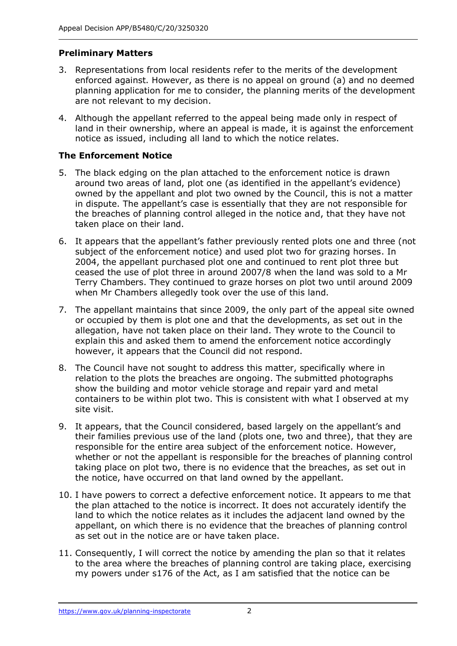### **Preliminary Matters**

- 3. Representations from local residents refer to the merits of the development enforced against. However, as there is no appeal on ground (a) and no deemed planning application for me to consider, the planning merits of the development are not relevant to my decision.
- 4. Although the appellant referred to the appeal being made only in respect of land in their ownership, where an appeal is made, it is against the enforcement notice as issued, including all land to which the notice relates.

### **The Enforcement Notice**

- 5. The black edging on the plan attached to the enforcement notice is drawn around two areas of land, plot one (as identified in the appellant's evidence) owned by the appellant and plot two owned by the Council, this is not a matter in dispute. The appellant's case is essentially that they are not responsible for the breaches of planning control alleged in the notice and, that they have not taken place on their land.
- 6. It appears that the appellant's father previously rented plots one and three (not subject of the enforcement notice) and used plot two for grazing horses. In 2004, the appellant purchased plot one and continued to rent plot three but ceased the use of plot three in around 2007/8 when the land was sold to a Mr Terry Chambers. They continued to graze horses on plot two until around 2009 when Mr Chambers allegedly took over the use of this land.
- 7. The appellant maintains that since 2009, the only part of the appeal site owned or occupied by them is plot one and that the developments, as set out in the allegation, have not taken place on their land. They wrote to the Council to explain this and asked them to amend the enforcement notice accordingly however, it appears that the Council did not respond.
- 8. The Council have not sought to address this matter, specifically where in relation to the plots the breaches are ongoing. The submitted photographs show the building and motor vehicle storage and repair yard and metal containers to be within plot two. This is consistent with what I observed at my site visit.
- 9. It appears, that the Council considered, based largely on the appellant's and their families previous use of the land (plots one, two and three), that they are responsible for the entire area subject of the enforcement notice. However, whether or not the appellant is responsible for the breaches of planning control taking place on plot two, there is no evidence that the breaches, as set out in the notice, have occurred on that land owned by the appellant.
- 10. I have powers to correct a defective enforcement notice. It appears to me that the plan attached to the notice is incorrect. It does not accurately identify the land to which the notice relates as it includes the adjacent land owned by the appellant, on which there is no evidence that the breaches of planning control as set out in the notice are or have taken place.
- 11. Consequently, I will correct the notice by amending the plan so that it relates to the area where the breaches of planning control are taking place, exercising my powers under s176 of the Act, as I am satisfied that the notice can be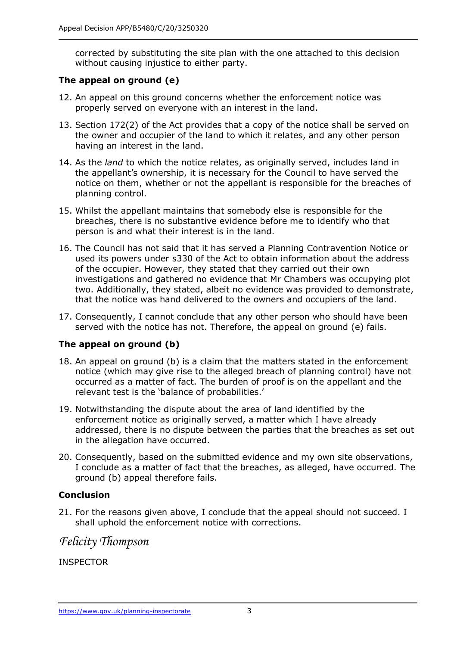corrected by substituting the site plan with the one attached to this decision without causing injustice to either party.

## **The appeal on ground (e)**

- 12. An appeal on this ground concerns whether the enforcement notice was properly served on everyone with an interest in the land.
- 13. Section 172(2) of the Act provides that a copy of the notice shall be served on the owner and occupier of the land to which it relates, and any other person having an interest in the land.
- 14. As the *land* to which the notice relates, as originally served, includes land in the appellant's ownership, it is necessary for the Council to have served the notice on them, whether or not the appellant is responsible for the breaches of planning control.
- 15. Whilst the appellant maintains that somebody else is responsible for the breaches, there is no substantive evidence before me to identify who that person is and what their interest is in the land.
- 16. The Council has not said that it has served a Planning Contravention Notice or used its powers under s330 of the Act to obtain information about the address of the occupier. However, they stated that they carried out their own investigations and gathered no evidence that Mr Chambers was occupying plot two. Additionally, they stated, albeit no evidence was provided to demonstrate, that the notice was hand delivered to the owners and occupiers of the land.
- 17. Consequently, I cannot conclude that any other person who should have been served with the notice has not. Therefore, the appeal on ground (e) fails.

#### **The appeal on ground (b)**

- 18. An appeal on ground (b) is a claim that the matters stated in the enforcement notice (which may give rise to the alleged breach of planning control) have not occurred as a matter of fact. The burden of proof is on the appellant and the relevant test is the 'balance of probabilities.'
- 19. Notwithstanding the dispute about the area of land identified by the enforcement notice as originally served, a matter which I have already addressed, there is no dispute between the parties that the breaches as set out in the allegation have occurred.
- 20. Consequently, based on the submitted evidence and my own site observations, I conclude as a matter of fact that the breaches, as alleged, have occurred. The ground (b) appeal therefore fails.

#### **Conclusion**

21. For the reasons given above, I conclude that the appeal should not succeed. I shall uphold the enforcement notice with corrections.

## *Felicity Thompson*

INSPECTOR